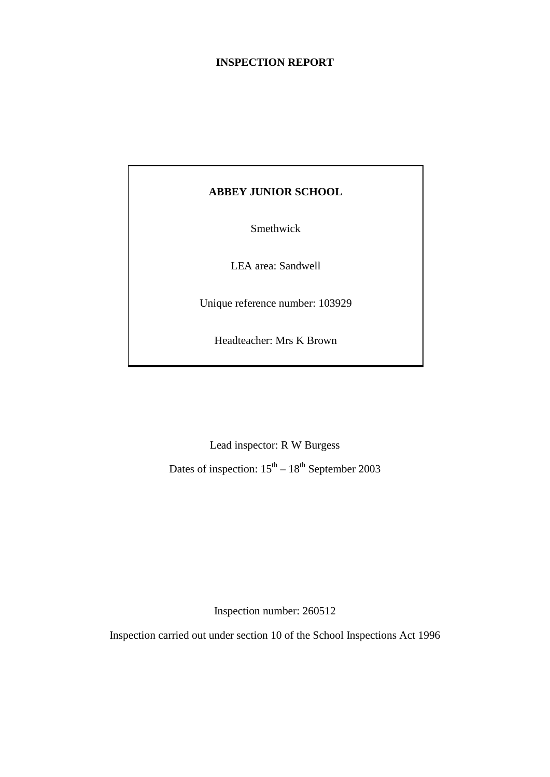#### **INSPECTION REPORT**

## **ABBEY JUNIOR SCHOOL**

Smethwick

LEA area: Sandwell

Unique reference number: 103929

Headteacher: Mrs K Brown

Lead inspector: R W Burgess

Dates of inspection:  $15<sup>th</sup> - 18<sup>th</sup>$  September 2003

Inspection number: 260512

Inspection carried out under section 10 of the School Inspections Act 1996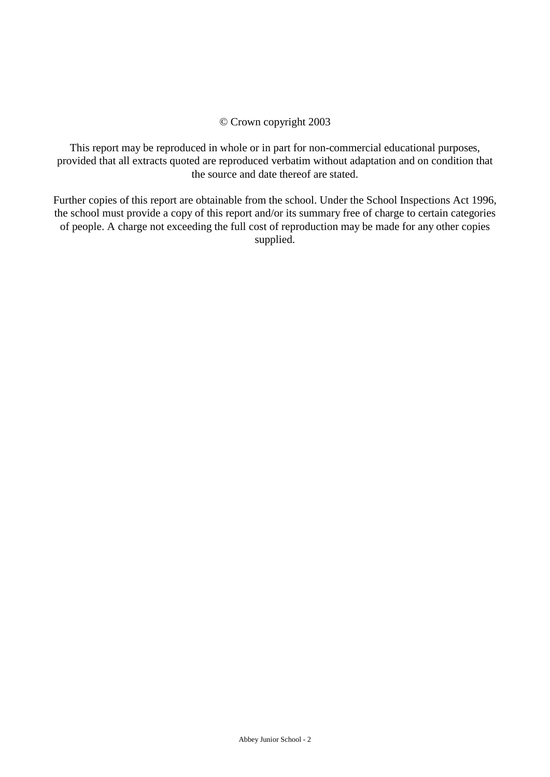#### © Crown copyright 2003

This report may be reproduced in whole or in part for non-commercial educational purposes, provided that all extracts quoted are reproduced verbatim without adaptation and on condition that the source and date thereof are stated.

Further copies of this report are obtainable from the school. Under the School Inspections Act 1996, the school must provide a copy of this report and/or its summary free of charge to certain categories of people. A charge not exceeding the full cost of reproduction may be made for any other copies supplied.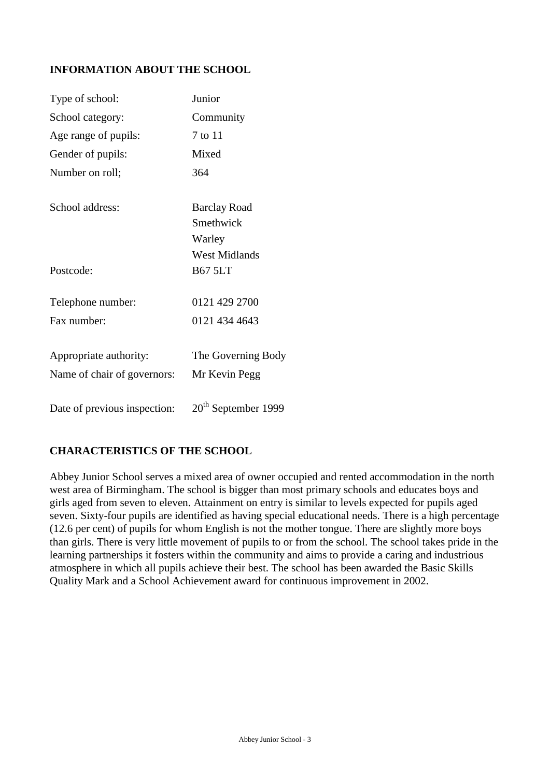## **INFORMATION ABOUT THE SCHOOL**

| Type of school:              | Junior                |
|------------------------------|-----------------------|
| School category:             | Community             |
| Age range of pupils:         | 7 to 11               |
| Gender of pupils:            | Mixed                 |
| Number on roll;              | 364                   |
| School address:              | <b>Barclay Road</b>   |
|                              | Smethwick             |
|                              | Warley                |
|                              | <b>West Midlands</b>  |
| Postcode:                    | <b>B67 5LT</b>        |
| Telephone number:            | 0121 429 2700         |
| Fax number:                  | 0121 434 4643         |
| Appropriate authority:       | The Governing Body    |
| Name of chair of governors:  | Mr Kevin Pegg         |
|                              |                       |
| Date of previous inspection: | $20th$ September 1999 |

### **CHARACTERISTICS OF THE SCHOOL**

Abbey Junior School serves a mixed area of owner occupied and rented accommodation in the north west area of Birmingham. The school is bigger than most primary schools and educates boys and girls aged from seven to eleven. Attainment on entry is similar to levels expected for pupils aged seven. Sixty-four pupils are identified as having special educational needs. There is a high percentage (12.6 per cent) of pupils for whom English is not the mother tongue. There are slightly more boys than girls. There is very little movement of pupils to or from the school. The school takes pride in the learning partnerships it fosters within the community and aims to provide a caring and industrious atmosphere in which all pupils achieve their best. The school has been awarded the Basic Skills Quality Mark and a School Achievement award for continuous improvement in 2002.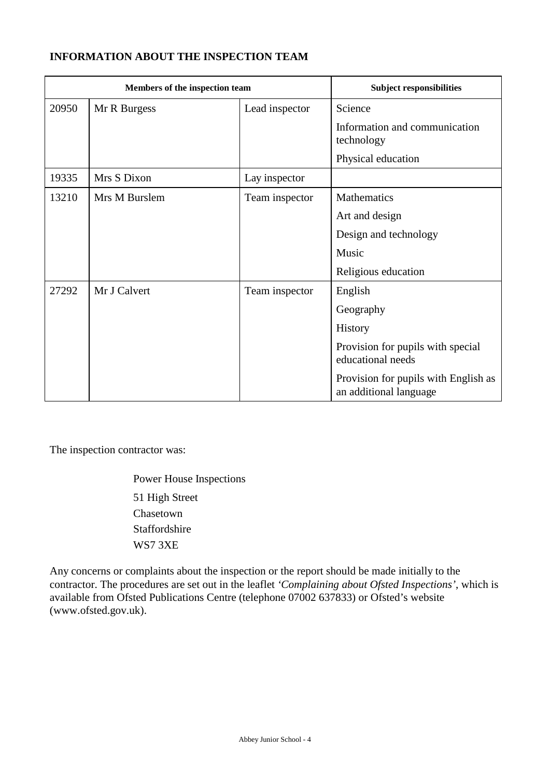## **INFORMATION ABOUT THE INSPECTION TEAM**

| Members of the inspection team |               |                | <b>Subject responsibilities</b>                                |
|--------------------------------|---------------|----------------|----------------------------------------------------------------|
| 20950                          | Mr R Burgess  | Lead inspector | Science                                                        |
|                                |               |                | Information and communication<br>technology                    |
|                                |               |                | Physical education                                             |
| 19335                          | Mrs S Dixon   | Lay inspector  |                                                                |
| 13210                          | Mrs M Burslem | Team inspector | <b>Mathematics</b>                                             |
|                                |               |                | Art and design                                                 |
|                                |               |                | Design and technology                                          |
|                                |               |                | Music                                                          |
|                                |               |                | Religious education                                            |
| 27292                          | Mr J Calvert  | Team inspector | English                                                        |
|                                |               |                | Geography                                                      |
|                                |               |                | <b>History</b>                                                 |
|                                |               |                | Provision for pupils with special<br>educational needs         |
|                                |               |                | Provision for pupils with English as<br>an additional language |

The inspection contractor was:

Power House Inspections 51 High Street Chasetown Staffordshire WS7 3XE

Any concerns or complaints about the inspection or the report should be made initially to the contractor. The procedures are set out in the leaflet *'Complaining about Ofsted Inspections'*, which is available from Ofsted Publications Centre (telephone 07002 637833) or Ofsted's website (www.ofsted.gov.uk).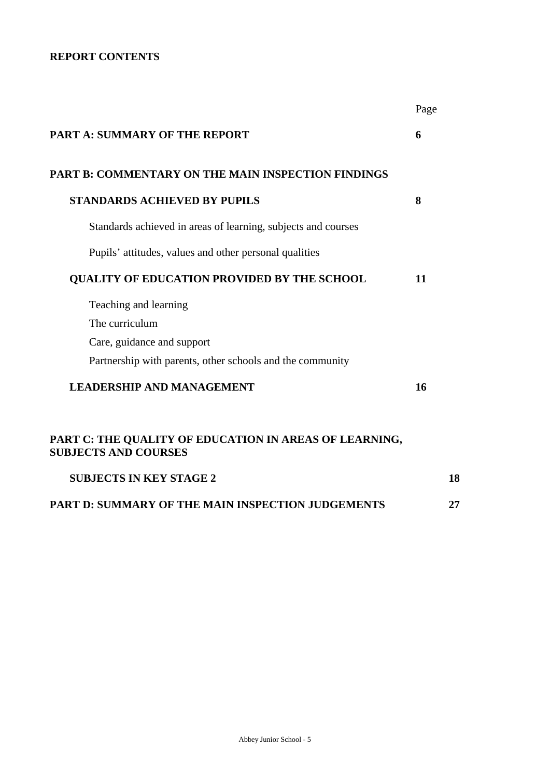## **REPORT CONTENTS**

|                                                                                       | Page |  |
|---------------------------------------------------------------------------------------|------|--|
| <b>PART A: SUMMARY OF THE REPORT</b>                                                  | 6    |  |
| <b>PART B: COMMENTARY ON THE MAIN INSPECTION FINDINGS</b>                             |      |  |
| <b>STANDARDS ACHIEVED BY PUPILS</b>                                                   | 8    |  |
| Standards achieved in areas of learning, subjects and courses                         |      |  |
| Pupils' attitudes, values and other personal qualities                                |      |  |
| QUALITY OF EDUCATION PROVIDED BY THE SCHOOL                                           | 11   |  |
| Teaching and learning                                                                 |      |  |
| The curriculum                                                                        |      |  |
| Care, guidance and support                                                            |      |  |
| Partnership with parents, other schools and the community                             |      |  |
| <b>LEADERSHIP AND MANAGEMENT</b>                                                      | 16   |  |
| PART C: THE QUALITY OF EDUCATION IN AREAS OF LEARNING,<br><b>SUBJECTS AND COURSES</b> |      |  |
| <b>SUBJECTS IN KEY STAGE 2</b>                                                        | 18   |  |
| PART D: SUMMARY OF THE MAIN INSPECTION JUDGEMENTS                                     | 27   |  |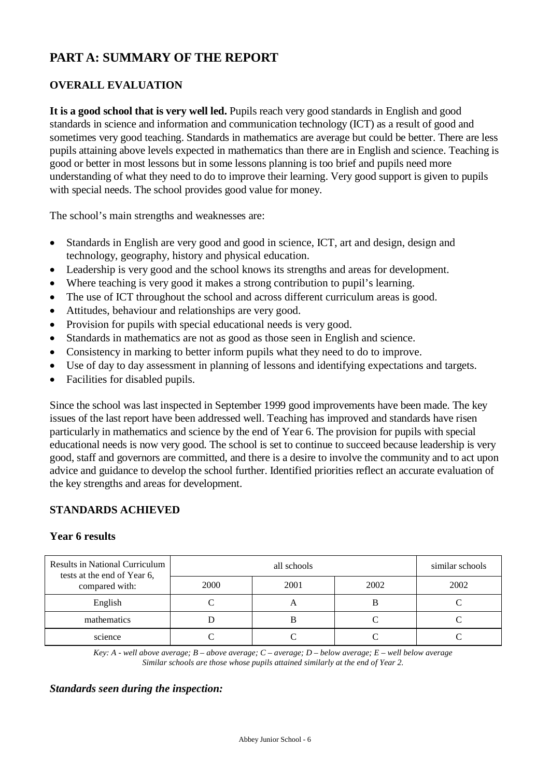# **PART A: SUMMARY OF THE REPORT**

## **OVERALL EVALUATION**

It is a good school that is very well led. Pupils reach very good standards in English and good standards in science and information and communication technology (ICT) as a result of good and sometimes very good teaching. Standards in mathematics are average but could be better. There are less pupils attaining above levels expected in mathematics than there are in English and science. Teaching is good or better in most lessons but in some lessons planning is too brief and pupils need more understanding of what they need to do to improve their learning. Very good support is given to pupils with special needs. The school provides good value for money.

The school's main strengths and weaknesses are:

- Standards in English are very good and good in science, ICT, art and design, design and technology, geography, history and physical education.
- Leadership is very good and the school knows its strengths and areas for development.
- Where teaching is very good it makes a strong contribution to pupil's learning.
- The use of ICT throughout the school and across different curriculum areas is good.
- Attitudes, behaviour and relationships are very good.
- Provision for pupils with special educational needs is very good.
- Standards in mathematics are not as good as those seen in English and science.
- Consistency in marking to better inform pupils what they need to do to improve.
- Use of day to day assessment in planning of lessons and identifying expectations and targets.
- Facilities for disabled pupils.

Since the school was last inspected in September 1999 good improvements have been made. The key issues of the last report have been addressed well. Teaching has improved and standards have risen particularly in mathematics and science by the end of Year 6. The provision for pupils with special educational needs is now very good. The school is set to continue to succeed because leadership is very good, staff and governors are committed, and there is a desire to involve the community and to act upon advice and guidance to develop the school further. Identified priorities reflect an accurate evaluation of the key strengths and areas for development.

#### **STANDARDS ACHIEVED**

#### **Year 6 results**

| <b>Results in National Curriculum</b><br>tests at the end of Year 6, |      | similar schools |      |      |
|----------------------------------------------------------------------|------|-----------------|------|------|
| compared with:                                                       | 2000 | 2001            | 2002 | 2002 |
| English                                                              |      |                 | Ŋ    |      |
| mathematics                                                          |      |                 |      |      |
| science                                                              |      |                 |      |      |

*Key: A - well above average; B – above average; C – average; D – below average; E – well below average Similar schools are those whose pupils attained similarly at the end of Year 2.*

#### *Standards seen during the inspection:*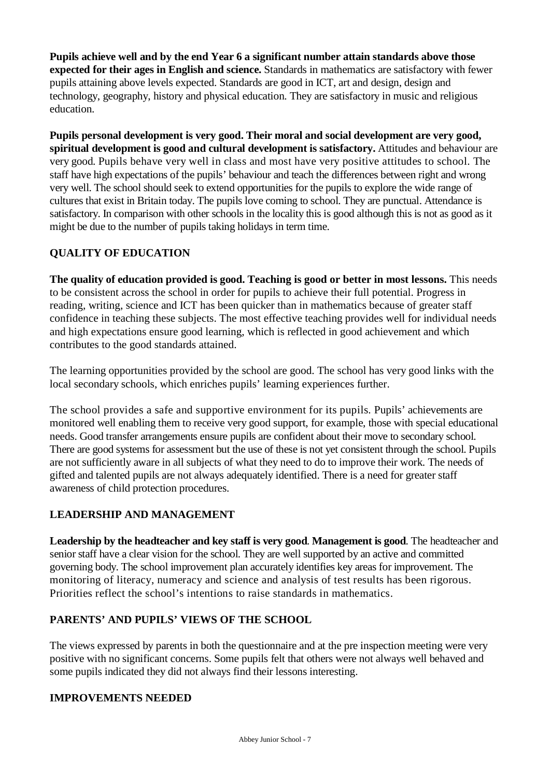**Pupils achieve well and by the end Year 6 a significant number attain standards above those expected for their ages in English and science.** Standards in mathematics are satisfactory with fewer pupils attaining above levels expected. Standards are good in ICT, art and design, design and technology, geography, history and physical education. They are satisfactory in music and religious education.

**Pupils personal development is very good. Their moral and social development are very good, spiritual development is good and cultural development is satisfactory.** Attitudes and behaviour are very good. Pupils behave very well in class and most have very positive attitudes to school. The staff have high expectations of the pupils' behaviour and teach the differences between right and wrong very well. The school should seek to extend opportunities for the pupils to explore the wide range of cultures that exist in Britain today. The pupils love coming to school. They are punctual. Attendance is satisfactory. In comparison with other schools in the locality this is good although this is not as good as it might be due to the number of pupils taking holidays in term time.

## **QUALITY OF EDUCATION**

**The quality of education provided is good. Teaching is good or better in most lessons.** This needs to be consistent across the school in order for pupils to achieve their full potential. Progress in reading, writing, science and ICT has been quicker than in mathematics because of greater staff confidence in teaching these subjects. The most effective teaching provides well for individual needs and high expectations ensure good learning, which is reflected in good achievement and which contributes to the good standards attained.

The learning opportunities provided by the school are good. The school has very good links with the local secondary schools, which enriches pupils' learning experiences further.

The school provides a safe and supportive environment for its pupils. Pupils' achievements are monitored well enabling them to receive very good support, for example, those with special educational needs. Good transfer arrangements ensure pupils are confident about their move to secondary school. There are good systems for assessment but the use of these is not yet consistent through the school. Pupils are not sufficiently aware in all subjects of what they need to do to improve their work. The needs of gifted and talented pupils are not always adequately identified. There is a need for greater staff awareness of child protection procedures.

## **LEADERSHIP AND MANAGEMENT**

**Leadership by the headteacher and key staff is very good**. **Management is good**. The headteacher and senior staff have a clear vision for the school. They are well supported by an active and committed governing body. The school improvement plan accurately identifies key areas for improvement. The monitoring of literacy, numeracy and science and analysis of test results has been rigorous. Priorities reflect the school's intentions to raise standards in mathematics.

### **PARENTS' AND PUPILS' VIEWS OF THE SCHOOL**

The views expressed by parents in both the questionnaire and at the pre inspection meeting were very positive with no significant concerns. Some pupils felt that others were not always well behaved and some pupils indicated they did not always find their lessons interesting.

### **IMPROVEMENTS NEEDED**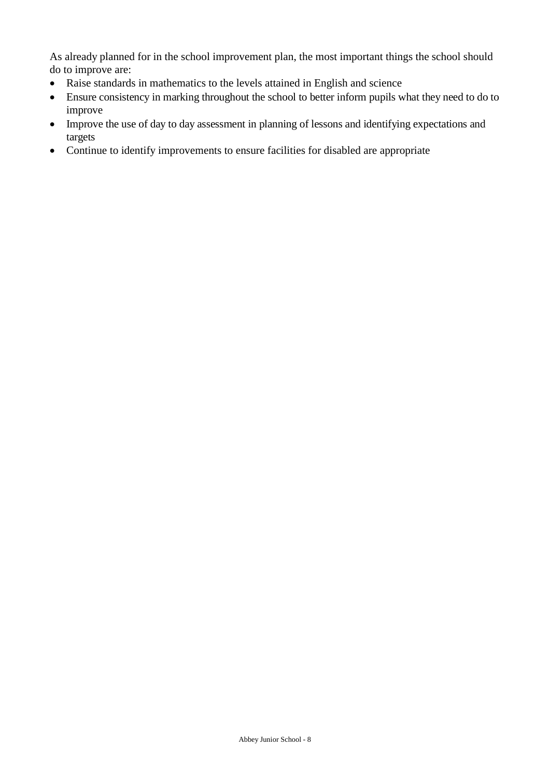As already planned for in the school improvement plan, the most important things the school should do to improve are:

- Raise standards in mathematics to the levels attained in English and science
- Ensure consistency in marking throughout the school to better inform pupils what they need to do to improve
- Improve the use of day to day assessment in planning of lessons and identifying expectations and targets
- Continue to identify improvements to ensure facilities for disabled are appropriate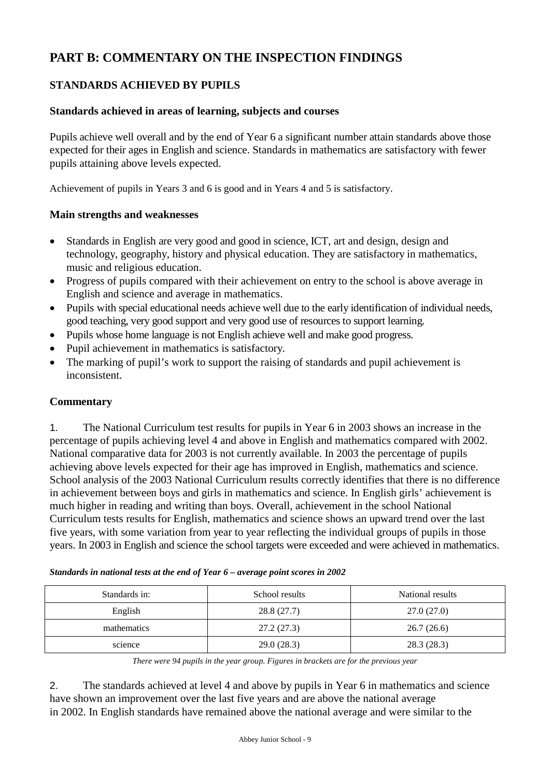# **PART B: COMMENTARY ON THE INSPECTION FINDINGS**

## **STANDARDS ACHIEVED BY PUPILS**

#### **Standards achieved in areas of learning, subjects and courses**

Pupils achieve well overall and by the end of Year 6 a significant number attain standards above those expected for their ages in English and science. Standards in mathematics are satisfactory with fewer pupils attaining above levels expected.

Achievement of pupils in Years 3 and 6 is good and in Years 4 and 5 is satisfactory.

#### **Main strengths and weaknesses**

- Standards in English are very good and good in science, ICT, art and design, design and technology, geography, history and physical education. They are satisfactory in mathematics, music and religious education.
- Progress of pupils compared with their achievement on entry to the school is above average in English and science and average in mathematics.
- Pupils with special educational needs achieve well due to the early identification of individual needs, good teaching, very good support and very good use of resources to support learning.
- Pupils whose home language is not English achieve well and make good progress.
- Pupil achievement in mathematics is satisfactory.
- The marking of pupil's work to support the raising of standards and pupil achievement is inconsistent.

### **Commentary**

1. The National Curriculum test results for pupils in Year 6 in 2003 shows an increase in the percentage of pupils achieving level 4 and above in English and mathematics compared with 2002. National comparative data for 2003 is not currently available. In 2003 the percentage of pupils achieving above levels expected for their age has improved in English, mathematics and science. School analysis of the 2003 National Curriculum results correctly identifies that there is no difference in achievement between boys and girls in mathematics and science. In English girls' achievement is much higher in reading and writing than boys. Overall, achievement in the school National Curriculum tests results for English, mathematics and science shows an upward trend over the last five years, with some variation from year to year reflecting the individual groups of pupils in those years. In 2003 in English and science the school targets were exceeded and were achieved in mathematics.

| Standards in: | School results | National results |
|---------------|----------------|------------------|
| English       | 28.8 (27.7)    | 27.0 (27.0)      |
| mathematics   | 27.2(27.3)     | 26.7(26.6)       |
| science       | 29.0(28.3)     | 28.3(28.3)       |

|  |  | Standards in national tests at the end of Year 6 - average point scores in 2002 |  |
|--|--|---------------------------------------------------------------------------------|--|
|  |  |                                                                                 |  |

*There were 94 pupils in the year group. Figures in brackets are for the previous year*

2. The standards achieved at level 4 and above by pupils in Year 6 in mathematics and science have shown an improvement over the last five years and are above the national average in 2002. In English standards have remained above the national average and were similar to the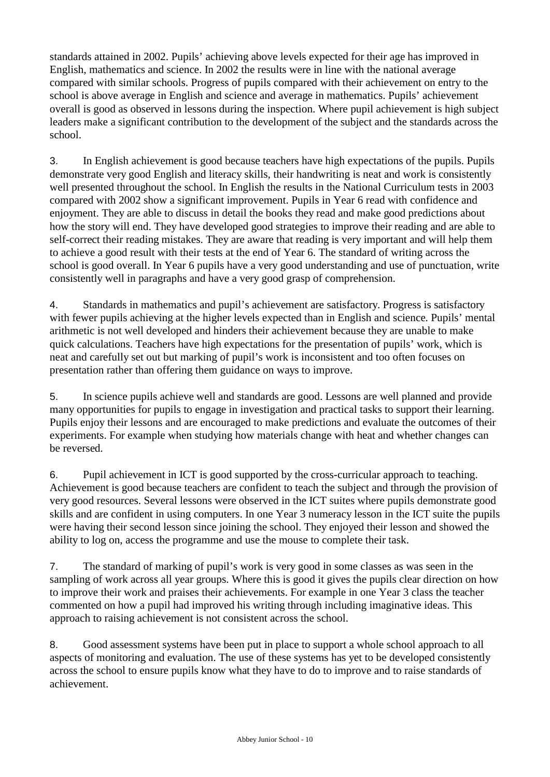standards attained in 2002. Pupils' achieving above levels expected for their age has improved in English, mathematics and science. In 2002 the results were in line with the national average compared with similar schools. Progress of pupils compared with their achievement on entry to the school is above average in English and science and average in mathematics. Pupils' achievement overall is good as observed in lessons during the inspection. Where pupil achievement is high subject leaders make a significant contribution to the development of the subject and the standards across the school.

3. In English achievement is good because teachers have high expectations of the pupils. Pupils demonstrate very good English and literacy skills, their handwriting is neat and work is consistently well presented throughout the school. In English the results in the National Curriculum tests in 2003 compared with 2002 show a significant improvement. Pupils in Year 6 read with confidence and enjoyment. They are able to discuss in detail the books they read and make good predictions about how the story will end. They have developed good strategies to improve their reading and are able to self-correct their reading mistakes. They are aware that reading is very important and will help them to achieve a good result with their tests at the end of Year 6. The standard of writing across the school is good overall. In Year 6 pupils have a very good understanding and use of punctuation, write consistently well in paragraphs and have a very good grasp of comprehension.

4. Standards in mathematics and pupil's achievement are satisfactory. Progress is satisfactory with fewer pupils achieving at the higher levels expected than in English and science. Pupils' mental arithmetic is not well developed and hinders their achievement because they are unable to make quick calculations. Teachers have high expectations for the presentation of pupils' work, which is neat and carefully set out but marking of pupil's work is inconsistent and too often focuses on presentation rather than offering them guidance on ways to improve.

5. In science pupils achieve well and standards are good. Lessons are well planned and provide many opportunities for pupils to engage in investigation and practical tasks to support their learning. Pupils enjoy their lessons and are encouraged to make predictions and evaluate the outcomes of their experiments. For example when studying how materials change with heat and whether changes can be reversed.

6. Pupil achievement in ICT is good supported by the cross-curricular approach to teaching. Achievement is good because teachers are confident to teach the subject and through the provision of very good resources. Several lessons were observed in the ICT suites where pupils demonstrate good skills and are confident in using computers. In one Year 3 numeracy lesson in the ICT suite the pupils were having their second lesson since joining the school. They enjoyed their lesson and showed the ability to log on, access the programme and use the mouse to complete their task.

7. The standard of marking of pupil's work is very good in some classes as was seen in the sampling of work across all year groups. Where this is good it gives the pupils clear direction on how to improve their work and praises their achievements. For example in one Year 3 class the teacher commented on how a pupil had improved his writing through including imaginative ideas. This approach to raising achievement is not consistent across the school.

8. Good assessment systems have been put in place to support a whole school approach to all aspects of monitoring and evaluation. The use of these systems has yet to be developed consistently across the school to ensure pupils know what they have to do to improve and to raise standards of achievement.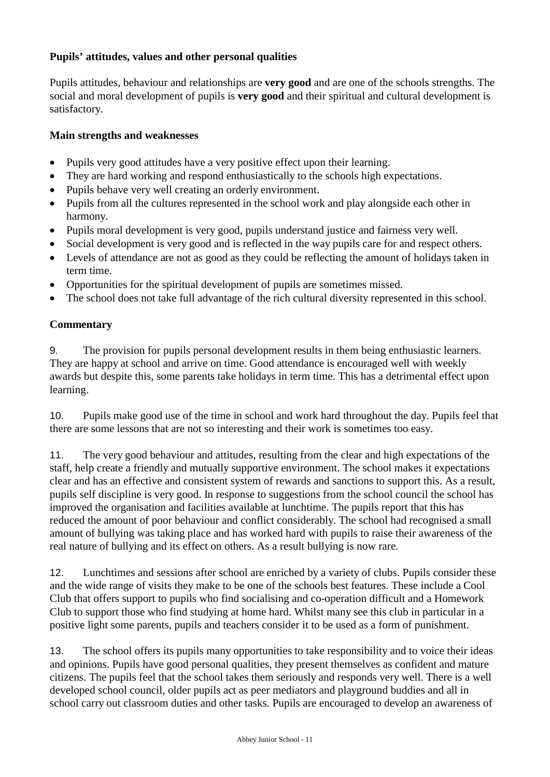## **Pupils' attitudes, values and other personal qualities**

Pupils attitudes, behaviour and relationships are **very good** and are one of the schools strengths. The social and moral development of pupils is **very good** and their spiritual and cultural development is satisfactory.

#### **Main strengths and weaknesses**

- Pupils very good attitudes have a very positive effect upon their learning.
- They are hard working and respond enthusiastically to the schools high expectations.
- Pupils behave very well creating an orderly environment.
- Pupils from all the cultures represented in the school work and play alongside each other in harmony.
- Pupils moral development is very good, pupils understand justice and fairness very well.
- Social development is very good and is reflected in the way pupils care for and respect others.
- Levels of attendance are not as good as they could be reflecting the amount of holidays taken in term time.
- Opportunities for the spiritual development of pupils are sometimes missed.
- The school does not take full advantage of the rich cultural diversity represented in this school.

### **Commentary**

9. The provision for pupils personal development results in them being enthusiastic learners. They are happy at school and arrive on time. Good attendance is encouraged well with weekly awards but despite this, some parents take holidays in term time. This has a detrimental effect upon learning.

10. Pupils make good use of the time in school and work hard throughout the day. Pupils feel that there are some lessons that are not so interesting and their work is sometimes too easy.

11. The very good behaviour and attitudes, resulting from the clear and high expectations of the staff, help create a friendly and mutually supportive environment. The school makes it expectations clear and has an effective and consistent system of rewards and sanctions to support this. As a result, pupils self discipline is very good. In response to suggestions from the school council the school has improved the organisation and facilities available at lunchtime. The pupils report that this has reduced the amount of poor behaviour and conflict considerably. The school had recognised a small amount of bullying was taking place and has worked hard with pupils to raise their awareness of the real nature of bullying and its effect on others. As a result bullying is now rare.

12. Lunchtimes and sessions after school are enriched by a variety of clubs. Pupils consider these and the wide range of visits they make to be one of the schools best features. These include a Cool Club that offers support to pupils who find socialising and co-operation difficult and a Homework Club to support those who find studying at home hard. Whilst many see this club in particular in a positive light some parents, pupils and teachers consider it to be used as a form of punishment.

13. The school offers its pupils many opportunities to take responsibility and to voice their ideas and opinions. Pupils have good personal qualities, they present themselves as confident and mature citizens. The pupils feel that the school takes them seriously and responds very well. There is a well developed school council, older pupils act as peer mediators and playground buddies and all in school carry out classroom duties and other tasks. Pupils are encouraged to develop an awareness of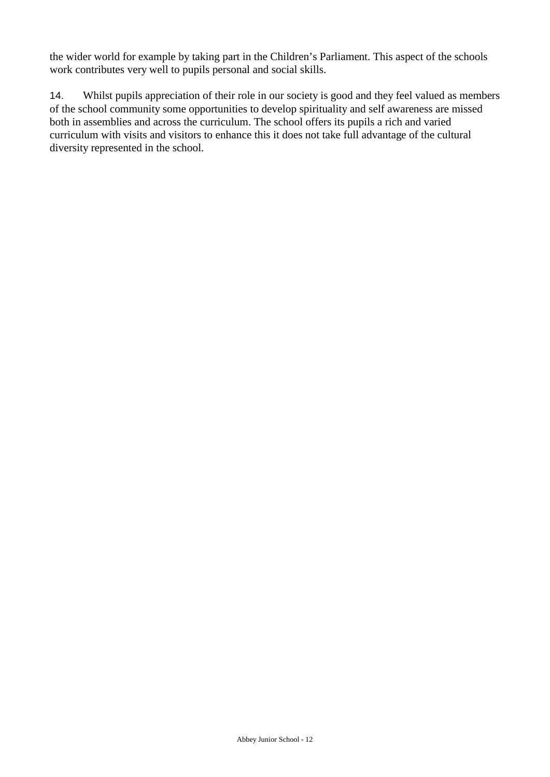the wider world for example by taking part in the Children's Parliament. This aspect of the schools work contributes very well to pupils personal and social skills.

14. Whilst pupils appreciation of their role in our society is good and they feel valued as members of the school community some opportunities to develop spirituality and self awareness are missed both in assemblies and across the curriculum. The school offers its pupils a rich and varied curriculum with visits and visitors to enhance this it does not take full advantage of the cultural diversity represented in the school.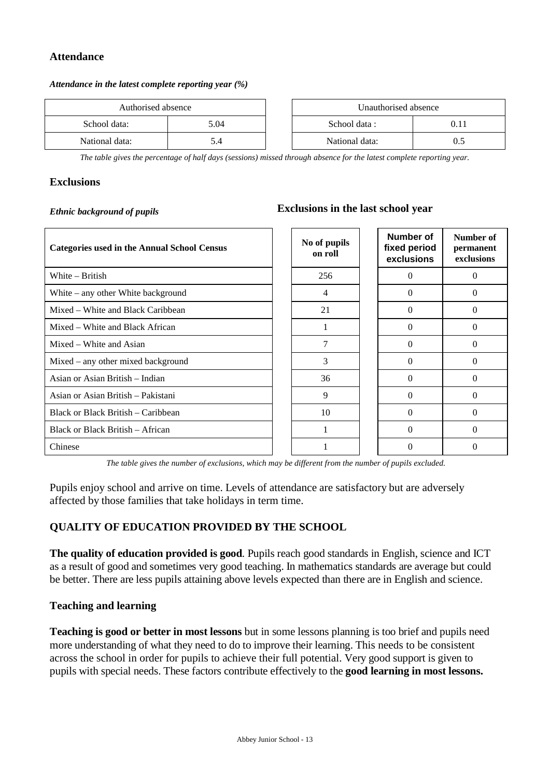#### **Attendance**

#### *Attendance in the latest complete reporting year (%)*

| Authorised absence |      |  | Unauthorised absence |       |
|--------------------|------|--|----------------------|-------|
| School data:       | 5.04 |  | School data :        | (0.1) |
| National data:     | 5.4  |  | National data:       |       |

*The table gives the percentage of half days (sessions) missed through absence for the latest complete reporting year.*

#### **Exclusions**

## *Ethnic background of pupils* **Exclusions in the last school year**

| <b>Categories used in the Annual School Census</b> | No of pupils<br>on roll | Number of<br>fixed period<br>exclusions | Number of<br>permanent<br>exclusions |
|----------------------------------------------------|-------------------------|-----------------------------------------|--------------------------------------|
| White $-$ British                                  | 256                     | $\Omega$                                | $\Omega$                             |
| White $-$ any other White background               | 4                       | 0                                       | $\Omega$                             |
| Mixed – White and Black Caribbean                  | 21                      | $\Omega$                                | $\Omega$                             |
| Mixed – White and Black African                    |                         | 0                                       | $\Omega$                             |
| Mixed – White and Asian                            | 7                       | $\Omega$                                | $\Omega$                             |
| $Mixed - any other mixed background$               | 3                       | $\Omega$                                | $\Omega$                             |
| Asian or Asian British – Indian                    | 36                      | 0                                       | 0                                    |
| Asian or Asian British – Pakistani                 | 9                       | $\Omega$                                | $\Omega$                             |
| Black or Black British – Caribbean                 | 10                      | $\Omega$                                | $\Omega$                             |
| Black or Black British – African                   | 1                       | $\Omega$                                | $\Omega$                             |
| Chinese                                            |                         | 0                                       | $\Omega$                             |

*The table gives the number of exclusions, which may be different from the number of pupils excluded.*

Pupils enjoy school and arrive on time. Levels of attendance are satisfactory but are adversely affected by those families that take holidays in term time.

### **QUALITY OF EDUCATION PROVIDED BY THE SCHOOL**

**The quality of education provided is good**. Pupils reach good standards in English, science and ICT as a result of good and sometimes very good teaching. In mathematics standards are average but could be better. There are less pupils attaining above levels expected than there are in English and science.

#### **Teaching and learning**

**Teaching is good or better in most lessons** but in some lessons planning is too brief and pupils need more understanding of what they need to do to improve their learning. This needs to be consistent across the school in order for pupils to achieve their full potential. Very good support is given to pupils with special needs. These factors contribute effectively to the **good learning in most lessons.**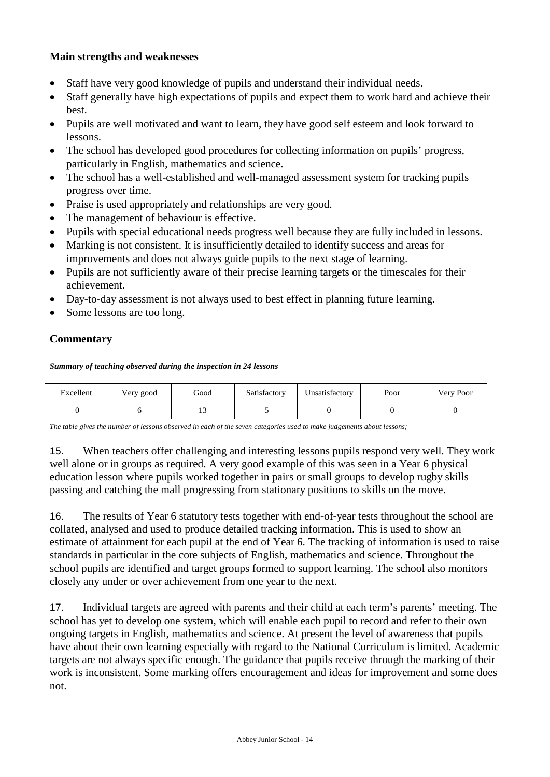## **Main strengths and weaknesses**

- Staff have very good knowledge of pupils and understand their individual needs.
- Staff generally have high expectations of pupils and expect them to work hard and achieve their best.
- Pupils are well motivated and want to learn, they have good self esteem and look forward to lessons.
- The school has developed good procedures for collecting information on pupils' progress, particularly in English, mathematics and science.
- The school has a well-established and well-managed assessment system for tracking pupils progress over time.
- Praise is used appropriately and relationships are very good.
- The management of behaviour is effective.
- Pupils with special educational needs progress well because they are fully included in lessons.
- Marking is not consistent. It is insufficiently detailed to identify success and areas for improvements and does not always guide pupils to the next stage of learning.
- Pupils are not sufficiently aware of their precise learning targets or the timescales for their achievement.
- Day-to-day assessment is not always used to best effect in planning future learning.
- Some lessons are too long.

## **Commentary**

*Summary of teaching observed during the inspection in 24 lessons*

| Excellent | Very good | Good | Satisfactory | Unsatisfactory | Poor | Very Poor |
|-----------|-----------|------|--------------|----------------|------|-----------|
|           |           |      |              |                |      |           |

*The table gives the number of lessons observed in each of the seven categories used to make judgements about lessons;* 

15. When teachers offer challenging and interesting lessons pupils respond very well. They work well alone or in groups as required. A very good example of this was seen in a Year 6 physical education lesson where pupils worked together in pairs or small groups to develop rugby skills passing and catching the mall progressing from stationary positions to skills on the move.

16. The results of Year 6 statutory tests together with end-of-year tests throughout the school are collated, analysed and used to produce detailed tracking information. This is used to show an estimate of attainment for each pupil at the end of Year 6. The tracking of information is used to raise standards in particular in the core subjects of English, mathematics and science. Throughout the school pupils are identified and target groups formed to support learning. The school also monitors closely any under or over achievement from one year to the next.

17. Individual targets are agreed with parents and their child at each term's parents' meeting. The school has yet to develop one system, which will enable each pupil to record and refer to their own ongoing targets in English, mathematics and science. At present the level of awareness that pupils have about their own learning especially with regard to the National Curriculum is limited. Academic targets are not always specific enough. The guidance that pupils receive through the marking of their work is inconsistent. Some marking offers encouragement and ideas for improvement and some does not.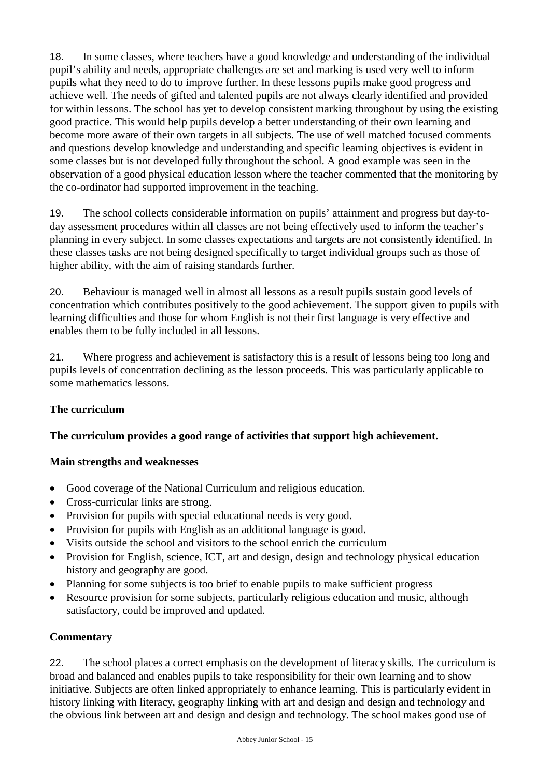18. In some classes, where teachers have a good knowledge and understanding of the individual pupil's ability and needs, appropriate challenges are set and marking is used very well to inform pupils what they need to do to improve further. In these lessons pupils make good progress and achieve well. The needs of gifted and talented pupils are not always clearly identified and provided for within lessons. The school has yet to develop consistent marking throughout by using the existing good practice. This would help pupils develop a better understanding of their own learning and become more aware of their own targets in all subjects. The use of well matched focused comments and questions develop knowledge and understanding and specific learning objectives is evident in some classes but is not developed fully throughout the school. A good example was seen in the observation of a good physical education lesson where the teacher commented that the monitoring by the co-ordinator had supported improvement in the teaching.

19. The school collects considerable information on pupils' attainment and progress but day-today assessment procedures within all classes are not being effectively used to inform the teacher's planning in every subject. In some classes expectations and targets are not consistently identified. In these classes tasks are not being designed specifically to target individual groups such as those of higher ability, with the aim of raising standards further.

20. Behaviour is managed well in almost all lessons as a result pupils sustain good levels of concentration which contributes positively to the good achievement. The support given to pupils with learning difficulties and those for whom English is not their first language is very effective and enables them to be fully included in all lessons.

21. Where progress and achievement is satisfactory this is a result of lessons being too long and pupils levels of concentration declining as the lesson proceeds. This was particularly applicable to some mathematics lessons.

## **The curriculum**

### **The curriculum provides a good range of activities that support high achievement.**

### **Main strengths and weaknesses**

- Good coverage of the National Curriculum and religious education.
- Cross-curricular links are strong.
- Provision for pupils with special educational needs is very good.
- Provision for pupils with English as an additional language is good.
- Visits outside the school and visitors to the school enrich the curriculum
- Provision for English, science, ICT, art and design, design and technology physical education history and geography are good.
- Planning for some subjects is too brief to enable pupils to make sufficient progress
- Resource provision for some subjects, particularly religious education and music, although satisfactory, could be improved and updated.

### **Commentary**

22. The school places a correct emphasis on the development of literacy skills. The curriculum is broad and balanced and enables pupils to take responsibility for their own learning and to show initiative. Subjects are often linked appropriately to enhance learning. This is particularly evident in history linking with literacy, geography linking with art and design and design and technology and the obvious link between art and design and design and technology. The school makes good use of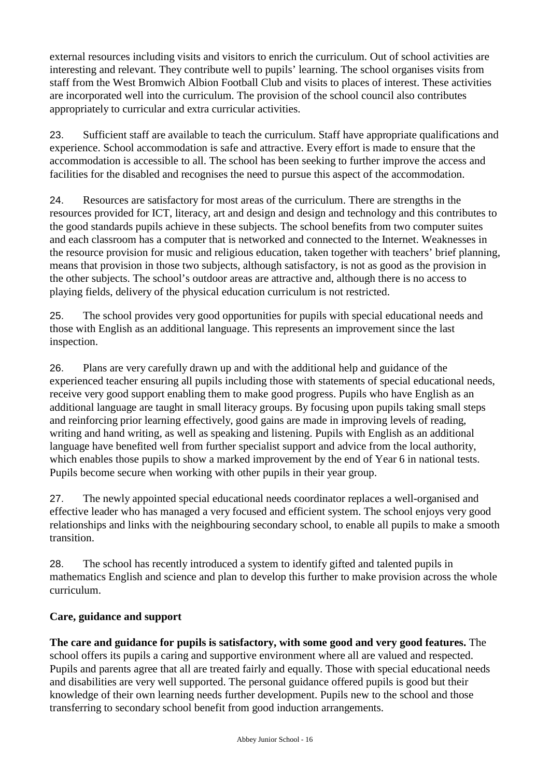external resources including visits and visitors to enrich the curriculum. Out of school activities are interesting and relevant. They contribute well to pupils' learning. The school organises visits from staff from the West Bromwich Albion Football Club and visits to places of interest. These activities are incorporated well into the curriculum. The provision of the school council also contributes appropriately to curricular and extra curricular activities.

23. Sufficient staff are available to teach the curriculum. Staff have appropriate qualifications and experience. School accommodation is safe and attractive. Every effort is made to ensure that the accommodation is accessible to all. The school has been seeking to further improve the access and facilities for the disabled and recognises the need to pursue this aspect of the accommodation.

24. Resources are satisfactory for most areas of the curriculum. There are strengths in the resources provided for ICT, literacy, art and design and design and technology and this contributes to the good standards pupils achieve in these subjects. The school benefits from two computer suites and each classroom has a computer that is networked and connected to the Internet. Weaknesses in the resource provision for music and religious education, taken together with teachers' brief planning, means that provision in those two subjects, although satisfactory, is not as good as the provision in the other subjects. The school's outdoor areas are attractive and, although there is no access to playing fields, delivery of the physical education curriculum is not restricted.

25. The school provides very good opportunities for pupils with special educational needs and those with English as an additional language. This represents an improvement since the last inspection.

26. Plans are very carefully drawn up and with the additional help and guidance of the experienced teacher ensuring all pupils including those with statements of special educational needs, receive very good support enabling them to make good progress. Pupils who have English as an additional language are taught in small literacy groups. By focusing upon pupils taking small steps and reinforcing prior learning effectively, good gains are made in improving levels of reading, writing and hand writing, as well as speaking and listening. Pupils with English as an additional language have benefited well from further specialist support and advice from the local authority, which enables those pupils to show a marked improvement by the end of Year 6 in national tests. Pupils become secure when working with other pupils in their year group.

27. The newly appointed special educational needs coordinator replaces a well-organised and effective leader who has managed a very focused and efficient system. The school enjoys very good relationships and links with the neighbouring secondary school, to enable all pupils to make a smooth transition.

28. The school has recently introduced a system to identify gifted and talented pupils in mathematics English and science and plan to develop this further to make provision across the whole curriculum.

### **Care, guidance and support**

**The care and guidance for pupils is satisfactory, with some good and very good features.** The school offers its pupils a caring and supportive environment where all are valued and respected. Pupils and parents agree that all are treated fairly and equally. Those with special educational needs and disabilities are very well supported. The personal guidance offered pupils is good but their knowledge of their own learning needs further development. Pupils new to the school and those transferring to secondary school benefit from good induction arrangements.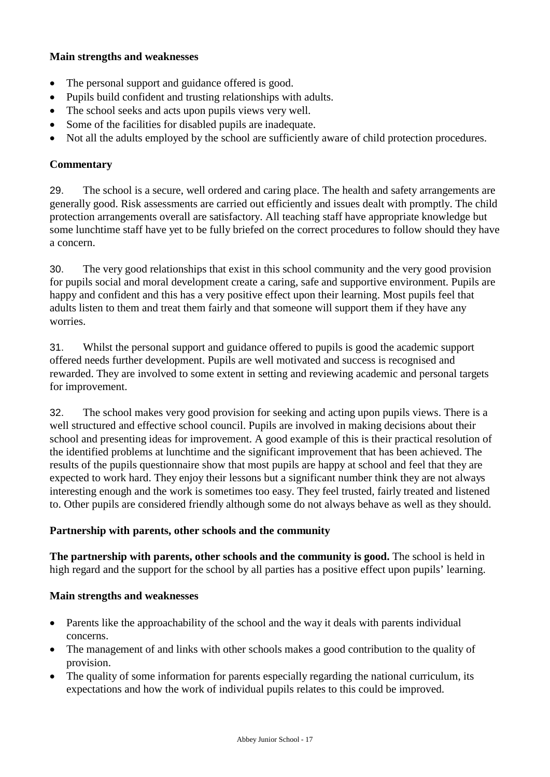#### **Main strengths and weaknesses**

- The personal support and guidance offered is good.
- Pupils build confident and trusting relationships with adults.
- The school seeks and acts upon pupils views very well.
- Some of the facilities for disabled pupils are inadequate.
- Not all the adults employed by the school are sufficiently aware of child protection procedures.

#### **Commentary**

29. The school is a secure, well ordered and caring place. The health and safety arrangements are generally good. Risk assessments are carried out efficiently and issues dealt with promptly. The child protection arrangements overall are satisfactory. All teaching staff have appropriate knowledge but some lunchtime staff have yet to be fully briefed on the correct procedures to follow should they have a concern.

30. The very good relationships that exist in this school community and the very good provision for pupils social and moral development create a caring, safe and supportive environment. Pupils are happy and confident and this has a very positive effect upon their learning. Most pupils feel that adults listen to them and treat them fairly and that someone will support them if they have any worries.

31. Whilst the personal support and guidance offered to pupils is good the academic support offered needs further development. Pupils are well motivated and success is recognised and rewarded. They are involved to some extent in setting and reviewing academic and personal targets for improvement.

32. The school makes very good provision for seeking and acting upon pupils views. There is a well structured and effective school council. Pupils are involved in making decisions about their school and presenting ideas for improvement. A good example of this is their practical resolution of the identified problems at lunchtime and the significant improvement that has been achieved. The results of the pupils questionnaire show that most pupils are happy at school and feel that they are expected to work hard. They enjoy their lessons but a significant number think they are not always interesting enough and the work is sometimes too easy. They feel trusted, fairly treated and listened to. Other pupils are considered friendly although some do not always behave as well as they should.

#### **Partnership with parents, other schools and the community**

**The partnership with parents, other schools and the community is good.** The school is held in high regard and the support for the school by all parties has a positive effect upon pupils' learning.

#### **Main strengths and weaknesses**

- Parents like the approachability of the school and the way it deals with parents individual concerns.
- The management of and links with other schools makes a good contribution to the quality of provision.
- The quality of some information for parents especially regarding the national curriculum, its expectations and how the work of individual pupils relates to this could be improved.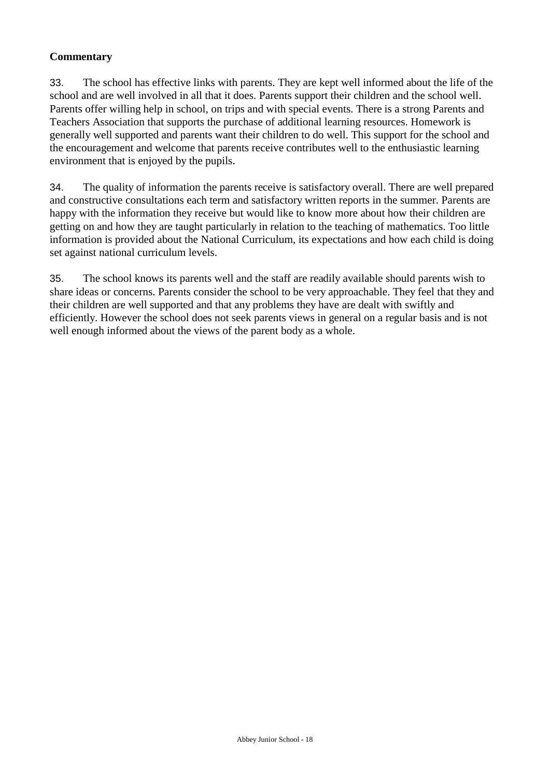## **Commentary**

33. The school has effective links with parents. They are kept well informed about the life of the school and are well involved in all that it does. Parents support their children and the school well. Parents offer willing help in school, on trips and with special events. There is a strong Parents and Teachers Association that supports the purchase of additional learning resources. Homework is generally well supported and parents want their children to do well. This support for the school and the encouragement and welcome that parents receive contributes well to the enthusiastic learning environment that is enjoyed by the pupils.

34. The quality of information the parents receive is satisfactory overall. There are well prepared and constructive consultations each term and satisfactory written reports in the summer. Parents are happy with the information they receive but would like to know more about how their children are getting on and how they are taught particularly in relation to the teaching of mathematics. Too little information is provided about the National Curriculum, its expectations and how each child is doing set against national curriculum levels.

35. The school knows its parents well and the staff are readily available should parents wish to share ideas or concerns. Parents consider the school to be very approachable. They feel that they and their children are well supported and that any problems they have are dealt with swiftly and efficiently. However the school does not seek parents views in general on a regular basis and is not well enough informed about the views of the parent body as a whole.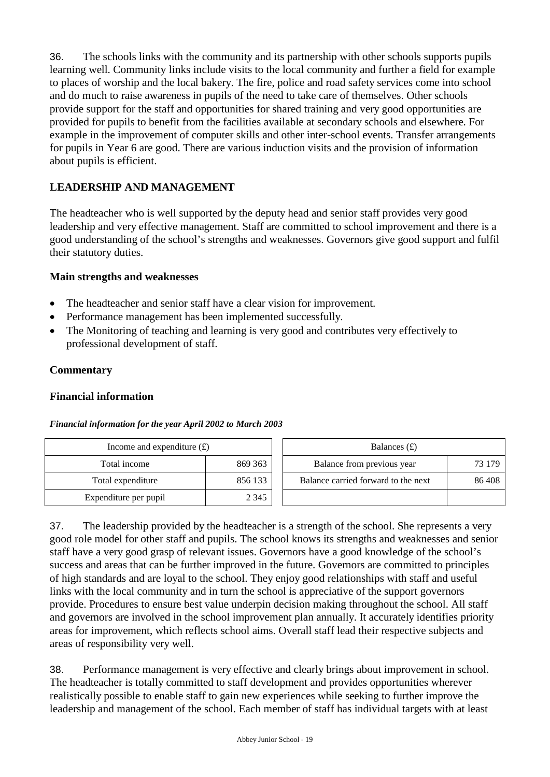36. The schools links with the community and its partnership with other schools supports pupils learning well. Community links include visits to the local community and further a field for example to places of worship and the local bakery. The fire, police and road safety services come into school and do much to raise awareness in pupils of the need to take care of themselves. Other schools provide support for the staff and opportunities for shared training and very good opportunities are provided for pupils to benefit from the facilities available at secondary schools and elsewhere. For example in the improvement of computer skills and other inter-school events. Transfer arrangements for pupils in Year 6 are good. There are various induction visits and the provision of information about pupils is efficient.

## **LEADERSHIP AND MANAGEMENT**

The headteacher who is well supported by the deputy head and senior staff provides very good leadership and very effective management. Staff are committed to school improvement and there is a good understanding of the school's strengths and weaknesses. Governors give good support and fulfil their statutory duties.

#### **Main strengths and weaknesses**

- The headteacher and senior staff have a clear vision for improvement.
- Performance management has been implemented successfully.
- The Monitoring of teaching and learning is very good and contributes very effectively to professional development of staff.

#### **Commentary**

#### **Financial information**

#### *Financial information for the year April 2002 to March 2003*

| Income and expenditure $(f)$ |         | Balances $(f)$                      |        |
|------------------------------|---------|-------------------------------------|--------|
| Total income                 | 869 363 | Balance from previous year          | 73 179 |
| Total expenditure            | 856 133 | Balance carried forward to the next | 86408  |
| Expenditure per pupil        | 2 3 4 5 |                                     |        |

37. The leadership provided by the headteacher is a strength of the school. She represents a very good role model for other staff and pupils. The school knows its strengths and weaknesses and senior staff have a very good grasp of relevant issues. Governors have a good knowledge of the school's success and areas that can be further improved in the future. Governors are committed to principles of high standards and are loyal to the school. They enjoy good relationships with staff and useful links with the local community and in turn the school is appreciative of the support governors provide. Procedures to ensure best value underpin decision making throughout the school. All staff and governors are involved in the school improvement plan annually. It accurately identifies priority areas for improvement, which reflects school aims. Overall staff lead their respective subjects and areas of responsibility very well.

38. Performance management is very effective and clearly brings about improvement in school. The headteacher is totally committed to staff development and provides opportunities wherever realistically possible to enable staff to gain new experiences while seeking to further improve the leadership and management of the school. Each member of staff has individual targets with at least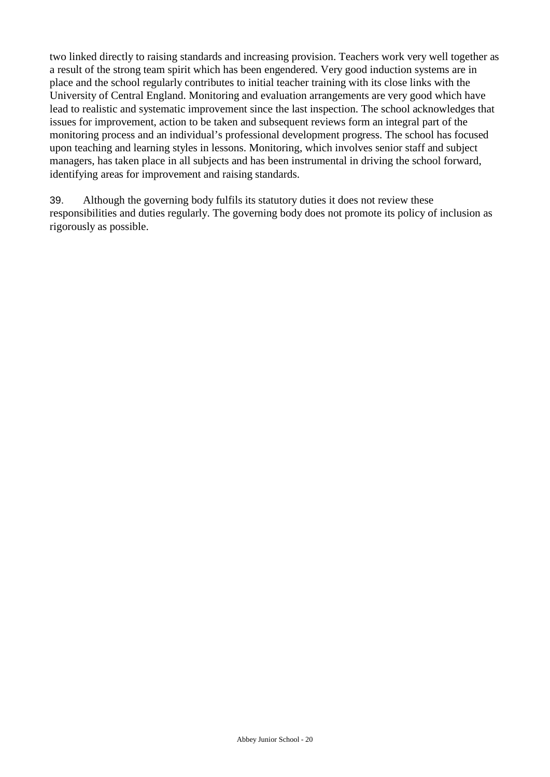two linked directly to raising standards and increasing provision. Teachers work very well together as a result of the strong team spirit which has been engendered. Very good induction systems are in place and the school regularly contributes to initial teacher training with its close links with the University of Central England. Monitoring and evaluation arrangements are very good which have lead to realistic and systematic improvement since the last inspection. The school acknowledges that issues for improvement, action to be taken and subsequent reviews form an integral part of the monitoring process and an individual's professional development progress. The school has focused upon teaching and learning styles in lessons. Monitoring, which involves senior staff and subject managers, has taken place in all subjects and has been instrumental in driving the school forward, identifying areas for improvement and raising standards.

39. Although the governing body fulfils its statutory duties it does not review these responsibilities and duties regularly. The governing body does not promote its policy of inclusion as rigorously as possible.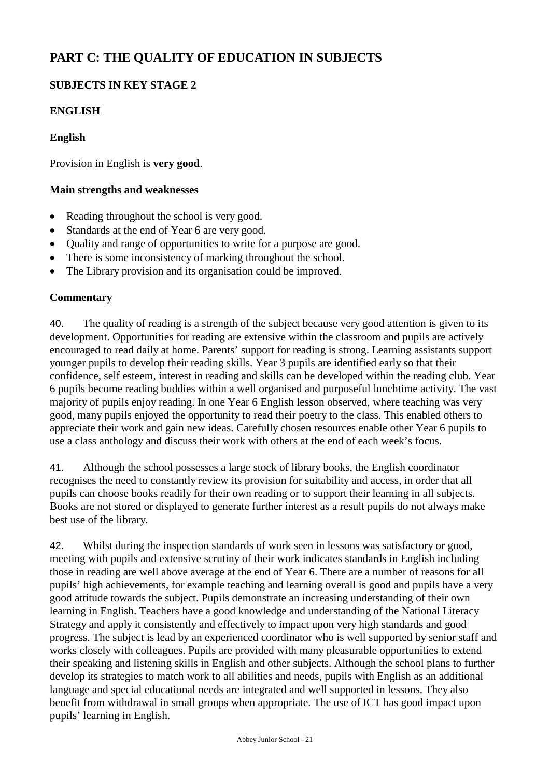# **PART C: THE QUALITY OF EDUCATION IN SUBJECTS**

## **SUBJECTS IN KEY STAGE 2**

## **ENGLISH**

#### **English**

Provision in English is **very good**.

#### **Main strengths and weaknesses**

- Reading throughout the school is very good.
- Standards at the end of Year 6 are very good.
- Quality and range of opportunities to write for a purpose are good.
- There is some inconsistency of marking throughout the school.
- The Library provision and its organisation could be improved.

#### **Commentary**

40. The quality of reading is a strength of the subject because very good attention is given to its development. Opportunities for reading are extensive within the classroom and pupils are actively encouraged to read daily at home. Parents' support for reading is strong. Learning assistants support younger pupils to develop their reading skills. Year 3 pupils are identified early so that their confidence, self esteem, interest in reading and skills can be developed within the reading club. Year 6 pupils become reading buddies within a well organised and purposeful lunchtime activity. The vast majority of pupils enjoy reading. In one Year 6 English lesson observed, where teaching was very good, many pupils enjoyed the opportunity to read their poetry to the class. This enabled others to appreciate their work and gain new ideas. Carefully chosen resources enable other Year 6 pupils to use a class anthology and discuss their work with others at the end of each week's focus.

41. Although the school possesses a large stock of library books, the English coordinator recognises the need to constantly review its provision for suitability and access, in order that all pupils can choose books readily for their own reading or to support their learning in all subjects. Books are not stored or displayed to generate further interest as a result pupils do not always make best use of the library.

42. Whilst during the inspection standards of work seen in lessons was satisfactory or good, meeting with pupils and extensive scrutiny of their work indicates standards in English including those in reading are well above average at the end of Year 6. There are a number of reasons for all pupils' high achievements, for example teaching and learning overall is good and pupils have a very good attitude towards the subject. Pupils demonstrate an increasing understanding of their own learning in English. Teachers have a good knowledge and understanding of the National Literacy Strategy and apply it consistently and effectively to impact upon very high standards and good progress. The subject is lead by an experienced coordinator who is well supported by senior staff and works closely with colleagues. Pupils are provided with many pleasurable opportunities to extend their speaking and listening skills in English and other subjects. Although the school plans to further develop its strategies to match work to all abilities and needs, pupils with English as an additional language and special educational needs are integrated and well supported in lessons. They also benefit from withdrawal in small groups when appropriate. The use of ICT has good impact upon pupils' learning in English.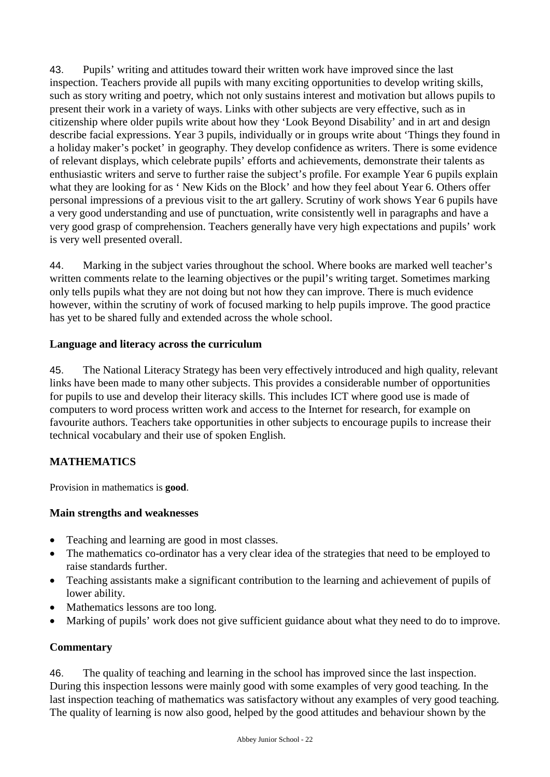43. Pupils' writing and attitudes toward their written work have improved since the last inspection. Teachers provide all pupils with many exciting opportunities to develop writing skills, such as story writing and poetry, which not only sustains interest and motivation but allows pupils to present their work in a variety of ways. Links with other subjects are very effective, such as in citizenship where older pupils write about how they 'Look Beyond Disability' and in art and design describe facial expressions. Year 3 pupils, individually or in groups write about 'Things they found in a holiday maker's pocket' in geography. They develop confidence as writers. There is some evidence of relevant displays, which celebrate pupils' efforts and achievements, demonstrate their talents as enthusiastic writers and serve to further raise the subject's profile. For example Year 6 pupils explain what they are looking for as 'New Kids on the Block' and how they feel about Year 6. Others offer personal impressions of a previous visit to the art gallery. Scrutiny of work shows Year 6 pupils have a very good understanding and use of punctuation, write consistently well in paragraphs and have a very good grasp of comprehension. Teachers generally have very high expectations and pupils' work is very well presented overall.

44. Marking in the subject varies throughout the school. Where books are marked well teacher's written comments relate to the learning objectives or the pupil's writing target. Sometimes marking only tells pupils what they are not doing but not how they can improve. There is much evidence however, within the scrutiny of work of focused marking to help pupils improve. The good practice has yet to be shared fully and extended across the whole school.

### **Language and literacy across the curriculum**

45. The National Literacy Strategy has been very effectively introduced and high quality, relevant links have been made to many other subjects. This provides a considerable number of opportunities for pupils to use and develop their literacy skills. This includes ICT where good use is made of computers to word process written work and access to the Internet for research, for example on favourite authors. Teachers take opportunities in other subjects to encourage pupils to increase their technical vocabulary and their use of spoken English.

## **MATHEMATICS**

Provision in mathematics is **good**.

## **Main strengths and weaknesses**

- Teaching and learning are good in most classes.
- The mathematics co-ordinator has a very clear idea of the strategies that need to be employed to raise standards further.
- Teaching assistants make a significant contribution to the learning and achievement of pupils of lower ability.
- Mathematics lessons are too long.
- Marking of pupils' work does not give sufficient guidance about what they need to do to improve.

## **Commentary**

46. The quality of teaching and learning in the school has improved since the last inspection. During this inspection lessons were mainly good with some examples of very good teaching. In the last inspection teaching of mathematics was satisfactory without any examples of very good teaching. The quality of learning is now also good, helped by the good attitudes and behaviour shown by the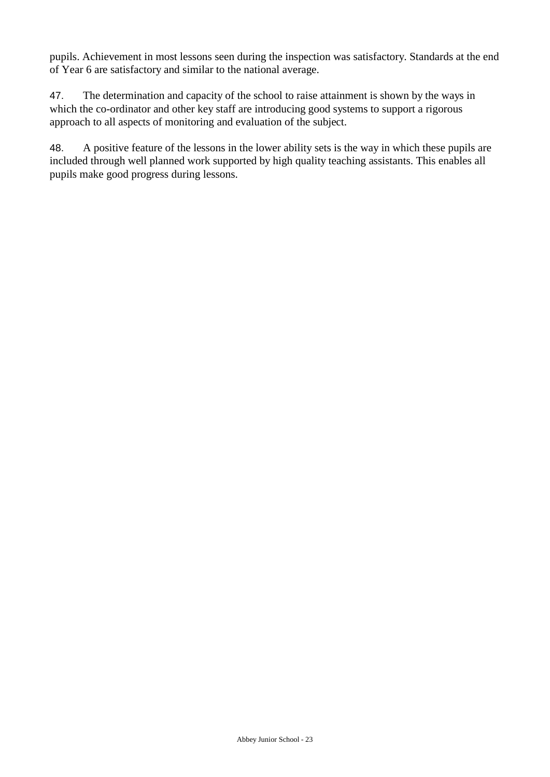pupils. Achievement in most lessons seen during the inspection was satisfactory. Standards at the end of Year 6 are satisfactory and similar to the national average.

47. The determination and capacity of the school to raise attainment is shown by the ways in which the co-ordinator and other key staff are introducing good systems to support a rigorous approach to all aspects of monitoring and evaluation of the subject.

48. A positive feature of the lessons in the lower ability sets is the way in which these pupils are included through well planned work supported by high quality teaching assistants. This enables all pupils make good progress during lessons.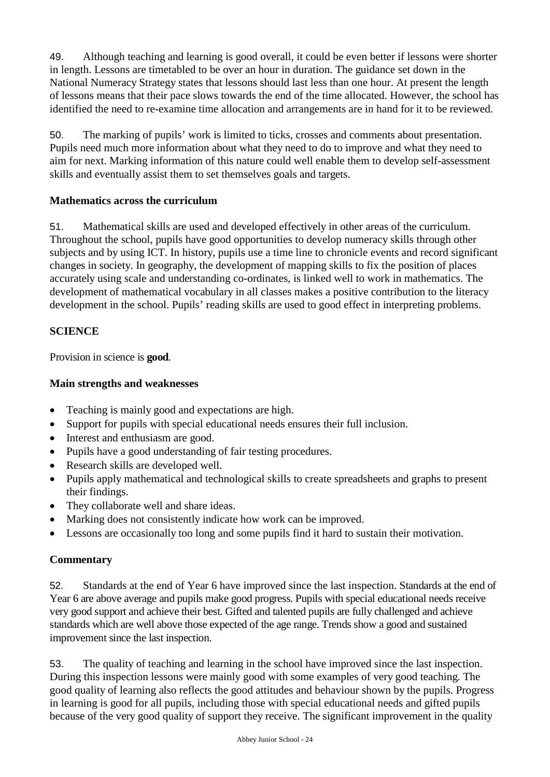49. Although teaching and learning is good overall, it could be even better if lessons were shorter in length. Lessons are timetabled to be over an hour in duration. The guidance set down in the National Numeracy Strategy states that lessons should last less than one hour. At present the length of lessons means that their pace slows towards the end of the time allocated. However, the school has identified the need to re-examine time allocation and arrangements are in hand for it to be reviewed.

50. The marking of pupils' work is limited to ticks, crosses and comments about presentation. Pupils need much more information about what they need to do to improve and what they need to aim for next. Marking information of this nature could well enable them to develop self-assessment skills and eventually assist them to set themselves goals and targets.

## **Mathematics across the curriculum**

51. Mathematical skills are used and developed effectively in other areas of the curriculum. Throughout the school, pupils have good opportunities to develop numeracy skills through other subjects and by using ICT. In history, pupils use a time line to chronicle events and record significant changes in society. In geography, the development of mapping skills to fix the position of places accurately using scale and understanding co-ordinates, is linked well to work in mathematics. The development of mathematical vocabulary in all classes makes a positive contribution to the literacy development in the school. Pupils' reading skills are used to good effect in interpreting problems.

## **SCIENCE**

Provision in science is **good***.*

## **Main strengths and weaknesses**

- Teaching is mainly good and expectations are high.
- Support for pupils with special educational needs ensures their full inclusion.
- Interest and enthusiasm are good.
- Pupils have a good understanding of fair testing procedures.
- Research skills are developed well.
- Pupils apply mathematical and technological skills to create spreadsheets and graphs to present their findings.
- They collaborate well and share ideas.
- Marking does not consistently indicate how work can be improved.
- Lessons are occasionally too long and some pupils find it hard to sustain their motivation.

### **Commentary**

52. Standards at the end of Year 6 have improved since the last inspection. Standards at the end of Year 6 are above average and pupils make good progress. Pupils with special educational needs receive very good support and achieve their best. Gifted and talented pupils are fully challenged and achieve standards which are well above those expected of the age range. Trends show a good and sustained improvement since the last inspection.

53. The quality of teaching and learning in the school have improved since the last inspection. During this inspection lessons were mainly good with some examples of very good teaching. The good quality of learning also reflects the good attitudes and behaviour shown by the pupils. Progress in learning is good for all pupils, including those with special educational needs and gifted pupils because of the very good quality of support they receive. The significant improvement in the quality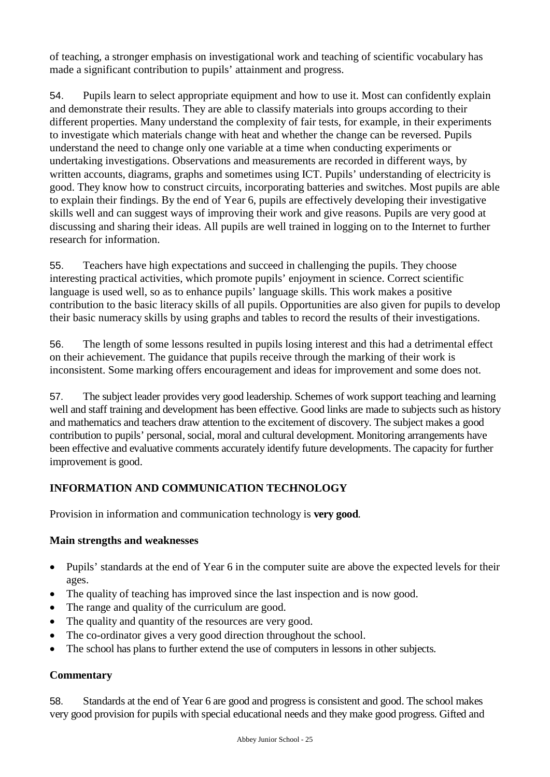of teaching, a stronger emphasis on investigational work and teaching of scientific vocabulary has made a significant contribution to pupils' attainment and progress.

54. Pupils learn to select appropriate equipment and how to use it. Most can confidently explain and demonstrate their results. They are able to classify materials into groups according to their different properties. Many understand the complexity of fair tests, for example, in their experiments to investigate which materials change with heat and whether the change can be reversed. Pupils understand the need to change only one variable at a time when conducting experiments or undertaking investigations. Observations and measurements are recorded in different ways, by written accounts, diagrams, graphs and sometimes using ICT. Pupils' understanding of electricity is good. They know how to construct circuits, incorporating batteries and switches. Most pupils are able to explain their findings. By the end of Year 6, pupils are effectively developing their investigative skills well and can suggest ways of improving their work and give reasons. Pupils are very good at discussing and sharing their ideas. All pupils are well trained in logging on to the Internet to further research for information.

55. Teachers have high expectations and succeed in challenging the pupils. They choose interesting practical activities, which promote pupils' enjoyment in science. Correct scientific language is used well, so as to enhance pupils' language skills. This work makes a positive contribution to the basic literacy skills of all pupils. Opportunities are also given for pupils to develop their basic numeracy skills by using graphs and tables to record the results of their investigations.

56. The length of some lessons resulted in pupils losing interest and this had a detrimental effect on their achievement. The guidance that pupils receive through the marking of their work is inconsistent. Some marking offers encouragement and ideas for improvement and some does not.

57. The subject leader provides very good leadership. Schemes of work support teaching and learning well and staff training and development has been effective. Good links are made to subjects such as history and mathematics and teachers draw attention to the excitement of discovery. The subject makes a good contribution to pupils' personal, social, moral and cultural development. Monitoring arrangements have been effective and evaluative comments accurately identify future developments. The capacity for further improvement is good.

## **INFORMATION AND COMMUNICATION TECHNOLOGY**

Provision in information and communication technology is **very good**.

### **Main strengths and weaknesses**

- Pupils' standards at the end of Year 6 in the computer suite are above the expected levels for their ages.
- The quality of teaching has improved since the last inspection and is now good.
- The range and quality of the curriculum are good.
- The quality and quantity of the resources are very good.
- The co-ordinator gives a very good direction throughout the school.
- The school has plans to further extend the use of computers in lessons in other subjects.

### **Commentary**

58. Standards at the end of Year 6 are good and progress is consistent and good. The school makes very good provision for pupils with special educational needs and they make good progress. Gifted and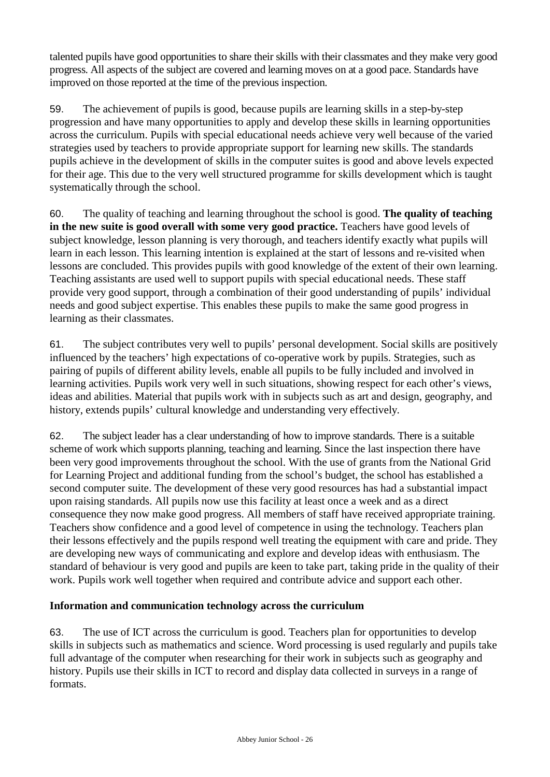talented pupils have good opportunities to share their skills with their classmates and they make very good progress. All aspects of the subject are covered and learning moves on at a good pace. Standards have improved on those reported at the time of the previous inspection.

59. The achievement of pupils is good, because pupils are learning skills in a step-by-step progression and have many opportunities to apply and develop these skills in learning opportunities across the curriculum. Pupils with special educational needs achieve very well because of the varied strategies used by teachers to provide appropriate support for learning new skills. The standards pupils achieve in the development of skills in the computer suites is good and above levels expected for their age. This due to the very well structured programme for skills development which is taught systematically through the school.

60. The quality of teaching and learning throughout the school is good. **The quality of teaching**  in the new suite is good overall with some very good practice. Teachers have good levels of subject knowledge, lesson planning is very thorough, and teachers identify exactly what pupils will learn in each lesson. This learning intention is explained at the start of lessons and re-visited when lessons are concluded. This provides pupils with good knowledge of the extent of their own learning. Teaching assistants are used well to support pupils with special educational needs. These staff provide very good support, through a combination of their good understanding of pupils' individual needs and good subject expertise. This enables these pupils to make the same good progress in learning as their classmates.

61. The subject contributes very well to pupils' personal development. Social skills are positively influenced by the teachers' high expectations of co-operative work by pupils. Strategies, such as pairing of pupils of different ability levels, enable all pupils to be fully included and involved in learning activities. Pupils work very well in such situations, showing respect for each other's views, ideas and abilities. Material that pupils work with in subjects such as art and design, geography, and history, extends pupils' cultural knowledge and understanding very effectively.

62. The subject leader has a clear understanding of how to improve standards. There is a suitable scheme of work which supports planning, teaching and learning. Since the last inspection there have been very good improvements throughout the school. With the use of grants from the National Grid for Learning Project and additional funding from the school's budget, the school has established a second computer suite. The development of these very good resources has had a substantial impact upon raising standards. All pupils now use this facility at least once a week and as a direct consequence they now make good progress. All members of staff have received appropriate training. Teachers show confidence and a good level of competence in using the technology. Teachers plan their lessons effectively and the pupils respond well treating the equipment with care and pride. They are developing new ways of communicating and explore and develop ideas with enthusiasm. The standard of behaviour is very good and pupils are keen to take part, taking pride in the quality of their work. Pupils work well together when required and contribute advice and support each other.

### **Information and communication technology across the curriculum**

63. The use of ICT across the curriculum is good. Teachers plan for opportunities to develop skills in subjects such as mathematics and science. Word processing is used regularly and pupils take full advantage of the computer when researching for their work in subjects such as geography and history. Pupils use their skills in ICT to record and display data collected in surveys in a range of formats.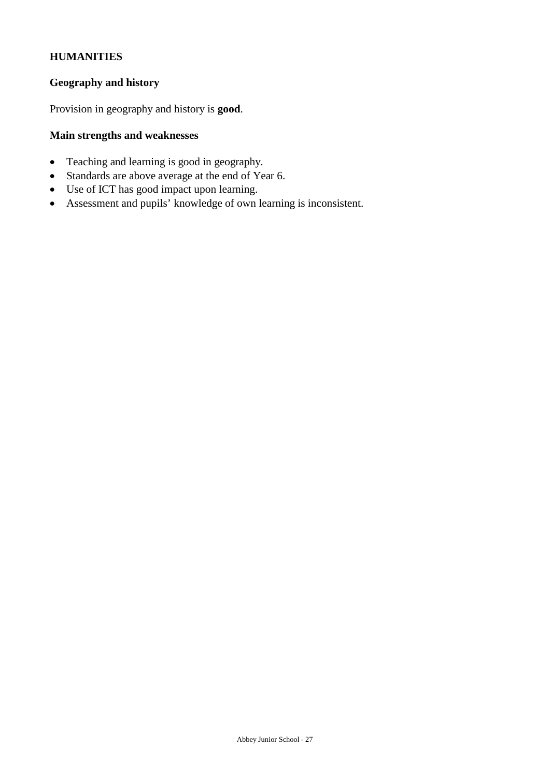## **HUMANITIES**

#### **Geography and history**

Provision in geography and history is **good**.

## **Main strengths and weaknesses**

- Teaching and learning is good in geography.
- Standards are above average at the end of Year 6.
- Use of ICT has good impact upon learning.
- Assessment and pupils' knowledge of own learning is inconsistent.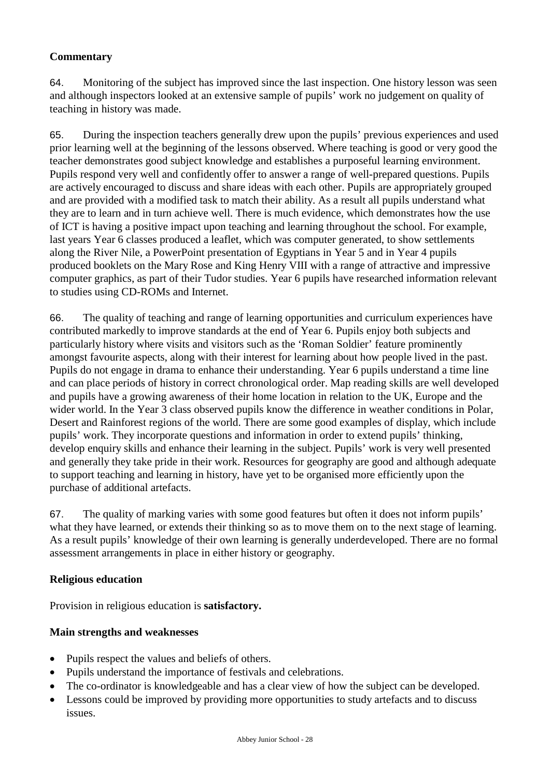## **Commentary**

64. Monitoring of the subject has improved since the last inspection. One history lesson was seen and although inspectors looked at an extensive sample of pupils' work no judgement on quality of teaching in history was made.

65. During the inspection teachers generally drew upon the pupils' previous experiences and used prior learning well at the beginning of the lessons observed. Where teaching is good or very good the teacher demonstrates good subject knowledge and establishes a purposeful learning environment. Pupils respond very well and confidently offer to answer a range of well-prepared questions. Pupils are actively encouraged to discuss and share ideas with each other. Pupils are appropriately grouped and are provided with a modified task to match their ability. As a result all pupils understand what they are to learn and in turn achieve well. There is much evidence, which demonstrates how the use of ICT is having a positive impact upon teaching and learning throughout the school. For example, last years Year 6 classes produced a leaflet, which was computer generated, to show settlements along the River Nile, a PowerPoint presentation of Egyptians in Year 5 and in Year 4 pupils produced booklets on the Mary Rose and King Henry VIII with a range of attractive and impressive computer graphics, as part of their Tudor studies. Year 6 pupils have researched information relevant to studies using CD-ROMs and Internet.

66. The quality of teaching and range of learning opportunities and curriculum experiences have contributed markedly to improve standards at the end of Year 6. Pupils enjoy both subjects and particularly history where visits and visitors such as the 'Roman Soldier' feature prominently amongst favourite aspects, along with their interest for learning about how people lived in the past. Pupils do not engage in drama to enhance their understanding. Year 6 pupils understand a time line and can place periods of history in correct chronological order. Map reading skills are well developed and pupils have a growing awareness of their home location in relation to the UK, Europe and the wider world. In the Year 3 class observed pupils know the difference in weather conditions in Polar, Desert and Rainforest regions of the world. There are some good examples of display, which include pupils' work. They incorporate questions and information in order to extend pupils' thinking, develop enquiry skills and enhance their learning in the subject. Pupils' work is very well presented and generally they take pride in their work. Resources for geography are good and although adequate to support teaching and learning in history, have yet to be organised more efficiently upon the purchase of additional artefacts.

67. The quality of marking varies with some good features but often it does not inform pupils' what they have learned, or extends their thinking so as to move them on to the next stage of learning. As a result pupils' knowledge of their own learning is generally underdeveloped. There are no formal assessment arrangements in place in either history or geography.

### **Religious education**

Provision in religious education is **satisfactory.** 

### **Main strengths and weaknesses**

- Pupils respect the values and beliefs of others.
- Pupils understand the importance of festivals and celebrations.
- The co-ordinator is knowledgeable and has a clear view of how the subject can be developed.
- Lessons could be improved by providing more opportunities to study artefacts and to discuss issues.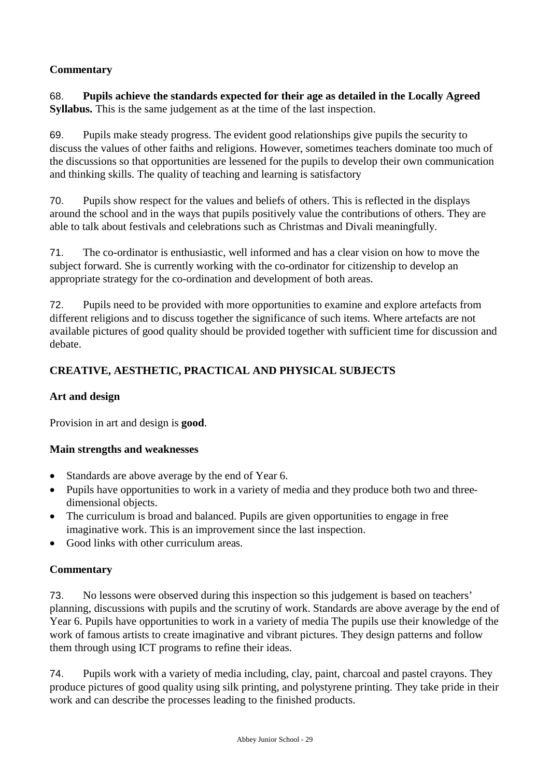## **Commentary**

68. **Pupils achieve the standards expected for their age as detailed in the Locally Agreed Syllabus.** This is the same judgement as at the time of the last inspection.

69. Pupils make steady progress. The evident good relationships give pupils the security to discuss the values of other faiths and religions. However, sometimes teachers dominate too much of the discussions so that opportunities are lessened for the pupils to develop their own communication and thinking skills. The quality of teaching and learning is satisfactory

70. Pupils show respect for the values and beliefs of others. This is reflected in the displays around the school and in the ways that pupils positively value the contributions of others. They are able to talk about festivals and celebrations such as Christmas and Divali meaningfully.

71. The co-ordinator is enthusiastic, well informed and has a clear vision on how to move the subject forward. She is currently working with the co-ordinator for citizenship to develop an appropriate strategy for the co-ordination and development of both areas.

72. Pupils need to be provided with more opportunities to examine and explore artefacts from different religions and to discuss together the significance of such items. Where artefacts are not available pictures of good quality should be provided together with sufficient time for discussion and debate.

## **CREATIVE, AESTHETIC, PRACTICAL AND PHYSICAL SUBJECTS**

### **Art and design**

Provision in art and design is **good**.

### **Main strengths and weaknesses**

- Standards are above average by the end of Year 6.
- Pupils have opportunities to work in a variety of media and they produce both two and threedimensional objects.
- The curriculum is broad and balanced. Pupils are given opportunities to engage in free imaginative work. This is an improvement since the last inspection.
- Good links with other curriculum areas.

### **Commentary**

73. No lessons were observed during this inspection so this judgement is based on teachers' planning, discussions with pupils and the scrutiny of work. Standards are above average by the end of Year 6. Pupils have opportunities to work in a variety of media The pupils use their knowledge of the work of famous artists to create imaginative and vibrant pictures. They design patterns and follow them through using ICT programs to refine their ideas.

74. Pupils work with a variety of media including, clay, paint, charcoal and pastel crayons. They produce pictures of good quality using silk printing, and polystyrene printing. They take pride in their work and can describe the processes leading to the finished products.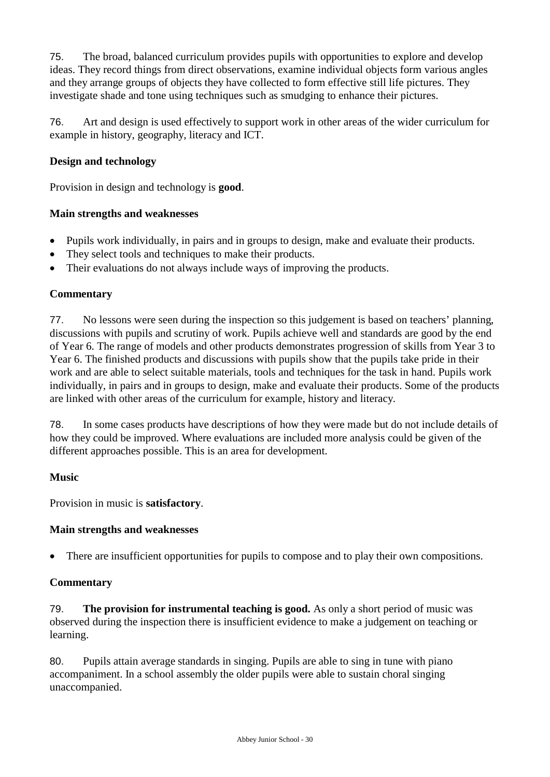75. The broad, balanced curriculum provides pupils with opportunities to explore and develop ideas. They record things from direct observations, examine individual objects form various angles and they arrange groups of objects they have collected to form effective still life pictures. They investigate shade and tone using techniques such as smudging to enhance their pictures.

76. Art and design is used effectively to support work in other areas of the wider curriculum for example in history, geography, literacy and ICT.

## **Design and technology**

Provision in design and technology is **good**.

#### **Main strengths and weaknesses**

- Pupils work individually, in pairs and in groups to design, make and evaluate their products.
- They select tools and techniques to make their products.
- Their evaluations do not always include ways of improving the products.

#### **Commentary**

77. No lessons were seen during the inspection so this judgement is based on teachers' planning, discussions with pupils and scrutiny of work. Pupils achieve well and standards are good by the end of Year 6. The range of models and other products demonstrates progression of skills from Year 3 to Year 6. The finished products and discussions with pupils show that the pupils take pride in their work and are able to select suitable materials, tools and techniques for the task in hand. Pupils work individually, in pairs and in groups to design, make and evaluate their products. Some of the products are linked with other areas of the curriculum for example, history and literacy.

78. In some cases products have descriptions of how they were made but do not include details of how they could be improved. Where evaluations are included more analysis could be given of the different approaches possible. This is an area for development.

#### **Music**

Provision in music is **satisfactory**.

#### **Main strengths and weaknesses**

There are insufficient opportunities for pupils to compose and to play their own compositions.

#### **Commentary**

79. **The provision for instrumental teaching is good.** As only a short period of music was observed during the inspection there is insufficient evidence to make a judgement on teaching or learning.

80. Pupils attain average standards in singing. Pupils are able to sing in tune with piano accompaniment. In a school assembly the older pupils were able to sustain choral singing unaccompanied.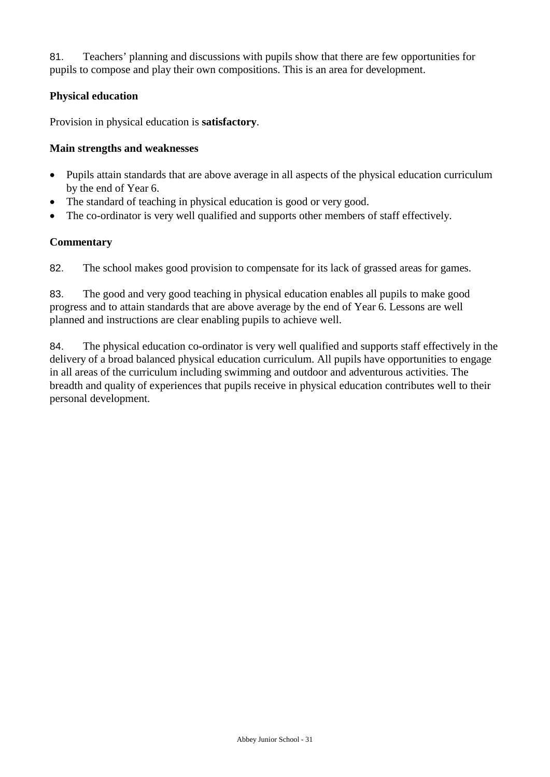81. Teachers' planning and discussions with pupils show that there are few opportunities for pupils to compose and play their own compositions. This is an area for development.

## **Physical education**

Provision in physical education is **satisfactory**.

### **Main strengths and weaknesses**

- Pupils attain standards that are above average in all aspects of the physical education curriculum by the end of Year 6.
- The standard of teaching in physical education is good or very good.
- The co-ordinator is very well qualified and supports other members of staff effectively.

### **Commentary**

82. The school makes good provision to compensate for its lack of grassed areas for games.

83. The good and very good teaching in physical education enables all pupils to make good progress and to attain standards that are above average by the end of Year 6. Lessons are well planned and instructions are clear enabling pupils to achieve well.

84. The physical education co-ordinator is very well qualified and supports staff effectively in the delivery of a broad balanced physical education curriculum. All pupils have opportunities to engage in all areas of the curriculum including swimming and outdoor and adventurous activities. The breadth and quality of experiences that pupils receive in physical education contributes well to their personal development.